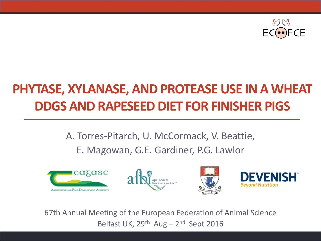

#### **PHYTASE, XYLANASE, AND PROTEASE USE IN A WHEAT DDGS AND RAPESEED DIET FOR FINISHER PIGS**

#### A. Torres-Pitarch, U. McCormack, V. Beattie, E. Magowan, G.E. Gardiner, P.G. Lawlor









67th Annual Meeting of the European Federation of Animal Science Belfast UK,  $29<sup>th</sup>$  Aug –  $2<sup>nd</sup>$  Sept 2016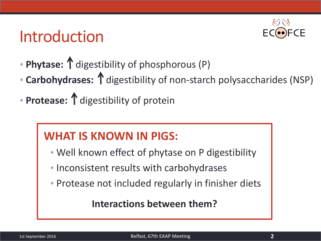## Introduction



- **Phytase:**  $\uparrow$  digestibility of phosphorous (P)
- **Carbohydrases:** 1 digestibility of non-starch polysaccharides (NSP)
- **Protease:** 1 digestibility of protein

#### **WHAT IS KNOWN IN PIGS:**

- Well known effect of phytase on P digestibility
- Inconsistent results with carbohydrases
- Protease not included regularly in finisher diets

#### **Interactions between them?**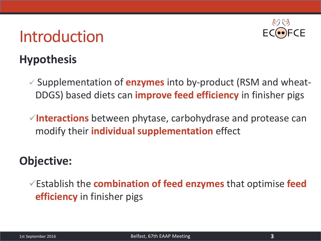## Introduction



#### **Hypothesis**

 Supplementation of **enzymes** into by-product (RSM and wheat-DDGS) based diets can **improve feed efficiency** in finisher pigs

**Interactions** between phytase, carbohydrase and protease can modify their **individual supplementation** effect

#### **Objective:**

Establish the **combination of feed enzymes** that optimise **feed efficiency** in finisher pigs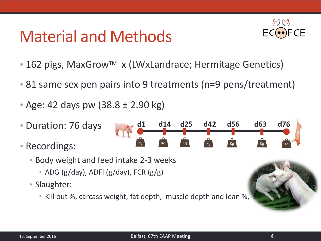# Material and Methods



- 162 pigs, MaxGrow<sup>TM</sup> x (LWxLandrace; Hermitage Genetics)
- 81 same sex pen pairs into 9 treatments (n=9 pens/treatment)

**d1 d14 d25 d42 d56 d63 d76**

 $Kg$ 

Kq

Kg

- Age: 42 days pw (38.8 ± 2.90 kg)
- Duration: 76 days
- Recordings:
	- Body weight and feed intake 2-3 weeks
		- ADG (g/day), ADFI (g/day), FCR (g/g)
	- Slaughter:
		- Kill out %, carcass weight, fat depth, muscle depth and lean %,

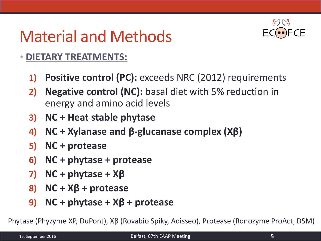# Material and Methods



#### • **DIETARY TREATMENTS:**

- **1) Positive control (PC):** exceeds NRC (2012) requirements
- **2) Negative control (NC):** basal diet with 5% reduction in energy and amino acid levels
- **3)** NC + Heat stable phytase
- **4) NC + Xylanase and β-glucanase complex (Xβ)**
- **5) NC + protease**
- **6) NC + phytase + protease**
- **7)** NC + phytase +  $X\beta$
- **8) NC + Xβ + protease**
- **9)** NC + phytase +  $X\beta$  + protease

Phytase (Phyzyme XP, DuPont), Xβ (Rovabio Spiky, Adisseo), Protease (Ronozyme ProAct, DSM)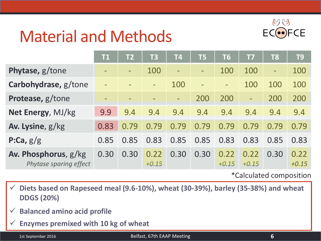

# Material and Methods

|                                                | <b>T1</b> | T2   | <b>T3</b>       | <b>T4</b> | <b>T5</b> | <b>T6</b>                | <b>T7</b>                | T <sub>8</sub>           | T <sub>9</sub>  |
|------------------------------------------------|-----------|------|-----------------|-----------|-----------|--------------------------|--------------------------|--------------------------|-----------------|
| Phytase, g/tone                                |           |      | 100             |           |           | 100                      | 100                      | $\overline{\phantom{0}}$ | 100             |
| Carbohydrase, g/tone                           | $\equiv$  |      | $\equiv$        | 100       | $\equiv$  | $\overline{\phantom{0}}$ | 100                      | 100                      | 100             |
| Protease, g/tone                               |           |      |                 | -         | 200       | 200                      | $\overline{\phantom{0}}$ | 200                      | 200             |
| Net Energy, MJ/kg                              | 9.9       | 9.4  | 9.4             | 9.4       | 9.4       | 9.4                      | 9.4                      | 9.4                      | 9.4             |
| Av. Lysine, g/kg                               | 0.83      | 0.79 | 0.79            | 0.79      | 0.79      | 0.79                     | 0.79                     | 0.79                     | 0.79            |
| P:Ca, $g/g$                                    | 0.85      | 0.85 | 0.83            | 0.85      | 0.85      | 0.83                     | 0.83                     | 0.85                     | 0.83            |
| Av. Phosphorus, g/kg<br>Phytase sparing effect | 0.30      | 0.30 | 0.22<br>$+0.15$ | 0.30      | 0.30      | 0.22<br>$+0.15$          | 0.22<br>$+0.15$          | 0.30                     | 0.22<br>$+0.15$ |

\*Calculated composition

 **Diets based on Rapeseed meal (9.6-10%), wheat (30-39%), barley (35-38%) and wheat DDGS (20%)**

- **Balanced amino acid profile**
- **Enzymes premixed with 10 kg of wheat**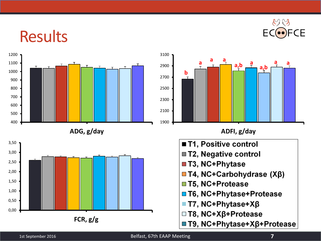

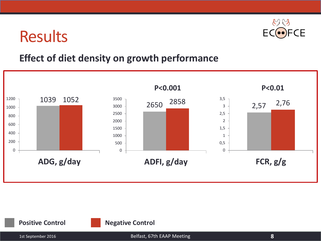

#### **Effect of diet density on growth performance**



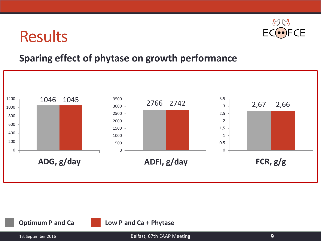

#### **Sparing effect of phytase on growth performance**

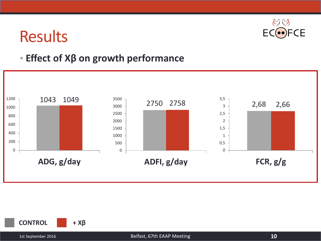

#### • **Effect of Xβ on growth performance**



**CONTROL + Xβ**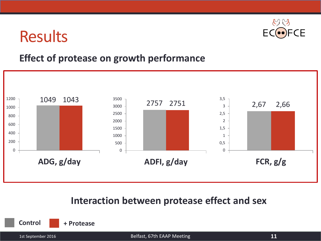

#### **Effect of protease on growth performance**



#### **Interaction between protease effect and sex**

**Control + Protease**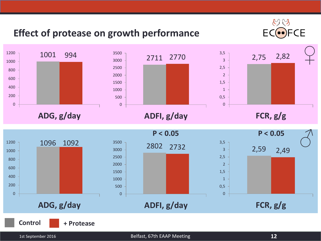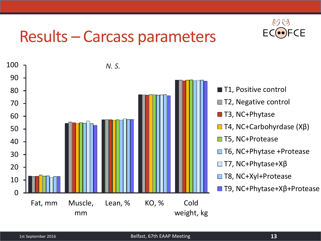# Results – Carcass parameters



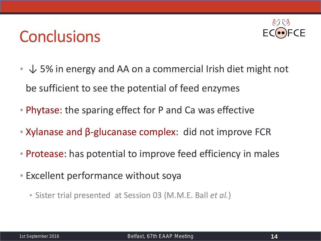# **Conclusions**



- $\downarrow$  5% in energy and AA on a commercial Irish diet might not be sufficient to see the potential of feed enzymes
- Phytase: the sparing effect for P and Ca was effective
- Xylanase and β-glucanase complex: did not improve FCR
- Protease: has potential to improve feed efficiency in males
- Excellent performance without soya
	- Sister trial presented at Session 03 (M.M.E. Ball *et al.*)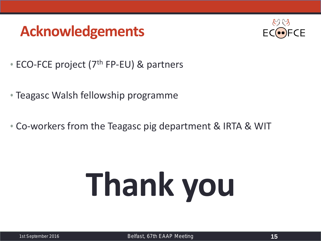### **Acknowledgements**



- ECO-FCE project (7<sup>th</sup> FP-EU) & partners
- Teagasc Walsh fellowship programme
- Co-workers from the Teagasc pig department & IRTA & WIT

# **Thank you**